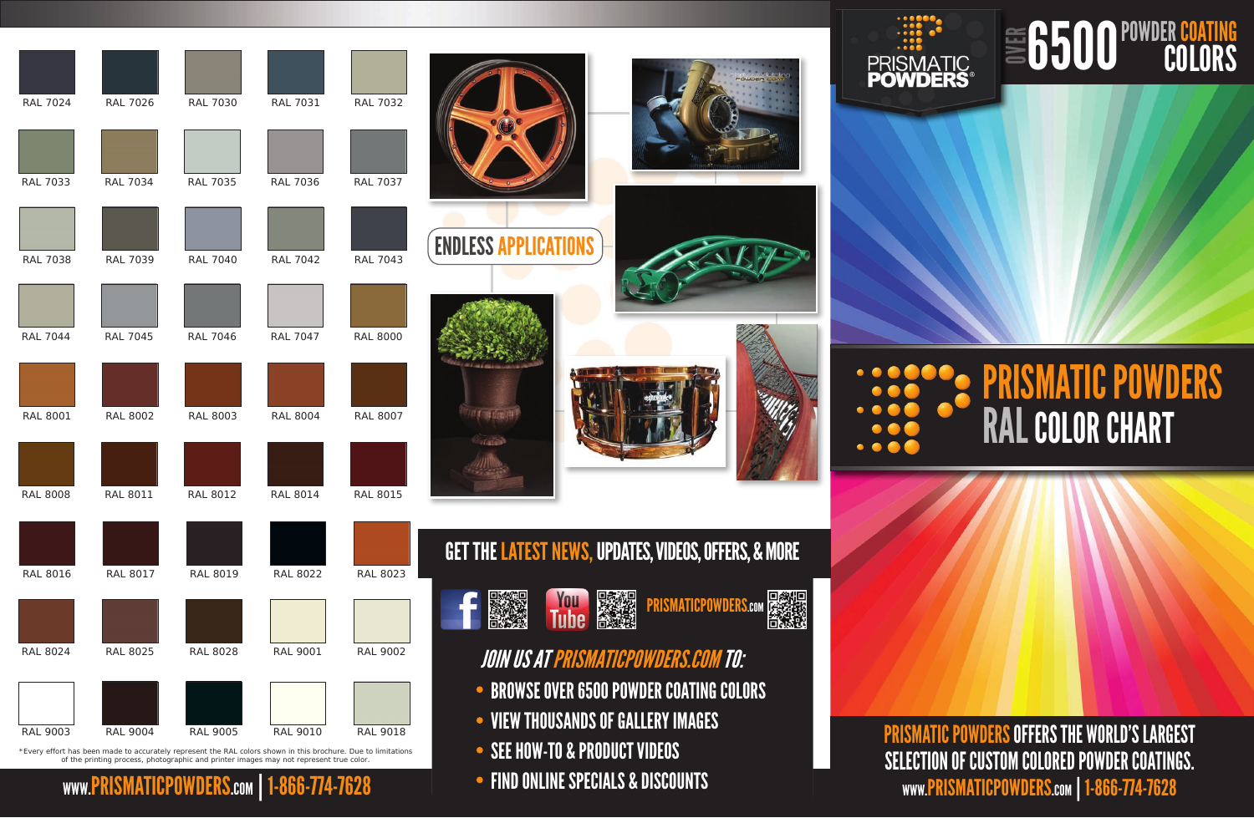## PRISMATIC POWDERS RALCOLOR CHART

WWW.PRISMATICPOWDERS.com | 1-866-774-7628 PRISMATIC POWDERS OFFERS THE WORLD'S LARGEST SELECTION OF CUSTOM COLORED POWDER COATINGS.

## 6500 POWDER COATING OVER

| <b>RAL 7024</b>                           | <b>RAL 7026</b> | <b>RAL 7030</b>                                                                                                                                                                                                            | <b>RAL 7031</b> | <b>RAL 7032</b> |                                                                                                                 |
|-------------------------------------------|-----------------|----------------------------------------------------------------------------------------------------------------------------------------------------------------------------------------------------------------------------|-----------------|-----------------|-----------------------------------------------------------------------------------------------------------------|
| RAL 7033                                  | <b>RAL 7034</b> | <b>RAL 7035</b>                                                                                                                                                                                                            | <b>RAL 7036</b> | <b>RAL 7037</b> |                                                                                                                 |
| <b>RAL 7038</b>                           | <b>RAL 7039</b> | <b>RAL 7040</b>                                                                                                                                                                                                            | <b>RAL 7042</b> | <b>RAL 7043</b> | <b>ENDLESS APPLICATIONS</b>                                                                                     |
| <b>RAL 7044</b>                           | <b>RAL 7045</b> | <b>RAL 7046</b>                                                                                                                                                                                                            | <b>RAL 7047</b> | <b>RAL 8000</b> |                                                                                                                 |
| <b>RAL 8001</b>                           | <b>RAL 8002</b> | <b>RAL 8003</b>                                                                                                                                                                                                            | <b>RAL 8004</b> | <b>RAL 8007</b> |                                                                                                                 |
| <b>RAL 8008</b>                           | <b>RAL 8011</b> | <b>RAL 8012</b>                                                                                                                                                                                                            | <b>RAL 8014</b> | <b>RAL 8015</b> |                                                                                                                 |
| <b>RAL 8016</b>                           | <b>RAL 8017</b> | <b>RAL 8019</b>                                                                                                                                                                                                            | <b>RAL 8022</b> | <b>RAL 8023</b> | GET THE LATEST NEWS, UPDATES, VIDEOS, OFFERS, & MORE                                                            |
| <b>RAL 8024</b>                           | <b>RAL 8025</b> | <b>RAL 8028</b>                                                                                                                                                                                                            | <b>RAL 9001</b> | <b>RAL 9002</b> | <b>You</b><br>Tube<br><b>PRISMATICPOWDERS.com</b><br><b>JOIN US AT PRISMATICPOWDERS.COM TO:</b>                 |
| <b>RAL 9003</b>                           | <b>RAL 9004</b> | <b>RAL 9005</b><br>*Every effort has been made to accurately represent the RAL colors shown in this brochure. Due to limitations<br>of the printing process, photographic and printer images may not represent true color. | <b>RAL 9010</b> | <b>RAL 9018</b> | • BROWSE OVER 6500 POWDER COATING COLORS<br>• VIEW THOUSANDS OF GALLERY IMAGES<br>• SEE HOW-TO & PRODUCT VIDEOS |
| WWW.PRISMATICPOWDERS.com   1-866-774-7628 |                 |                                                                                                                                                                                                                            |                 |                 | • FIND ONLINE SPECIALS & DISCOUNTS                                                                              |